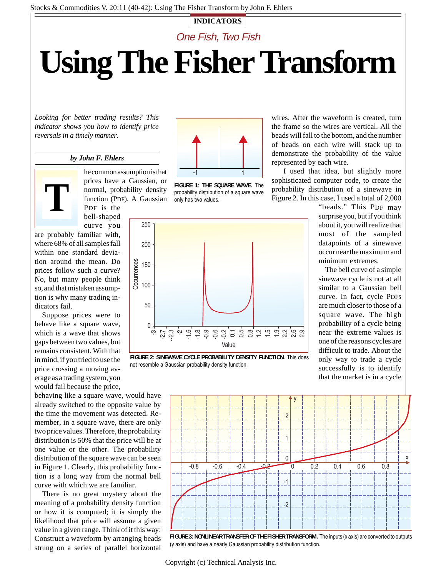## **INDICATORS**

One Fish, Two Fish

# **Using The Fisher Transform**

*Looking for better trading results? This indicator shows you how to identify price reversals in a timely manner.*

# *by John F. Ehlers*



he common assumption is that prices have a Gaussian, or normal, probability density function (PDF). A Gaussian PDF is the bell-shaped

curve you are probably familiar with, where 68% of all samples fall within one standard deviation around the mean. Do prices follow such a curve? No, but many people think so, and that mistaken assumption is why many trading indicators fail.

Suppose prices were to behave like a square wave, which is a wave that shows gaps between two values, but remains consistent. With that in mind, if you tried to use the price crossing a moving average as a trading system, you would fail because the price,

behaving like a square wave, would have already switched to the opposite value by the time the movement was detected. Remember, in a square wave, there are only two price values. Therefore, the probability distribution is 50% that the price will be at one value or the other. The probability distribution of the square wave can be seen in Figure 1. Clearly, this probability function is a long way from the normal bell curve with which we are familiar.

There is no great mystery about the meaning of a probability density function or how it is computed; it is simply the likelihood that price will assume a given value in a given range. Think of it this way: Construct a waveform by arranging beads strung on a series of parallel horizontal



**FIGURE 1: THE SQUARE WAVE.** The probability distribution of a square wave only has two values.

wires. After the waveform is created, turn the frame so the wires are vertical. All the beads will fall to the bottom, and the number of beads on each wire will stack up to demonstrate the probability of the value represented by each wire.

I used that idea, but slightly more sophisticated computer code, to create the probability distribution of a sinewave in Figure 2. In this case, I used a total of 2,000

250 200 **Dccurrences Occurrences** 150 100 50 0  $\dot{\mathcal{P}}$  $\Delta$ -2.7 م.<br>م ن خان<br>جان خان -0.6 -0.2 0.1 0.5 0.8 1.2 1.5 1.9 2.2 2.6 2.9 Value

**FIGURE 2: SINEWAVE CYCLE PROBABILITY DENSITY FUNCTION.** This does not resemble a Gaussian probability density function.

"beads." This PDF may surprise you, but if you think about it, you will realize that most of the sampled datapoints of a sinewave occur near the maximum and minimum extremes.

The bell curve of a simple sinewave cycle is not at all similar to a Gaussian bell curve. In fact, cycle PDFs are much closer to those of a square wave. The high probability of a cycle being near the extreme values is one of the reasons cycles are difficult to trade. About the only way to trade a cycle successfully is to identify that the market is in a cycle



**FIGURE 3: NONLINEAR TRANSFER OF THE FISHER TRANSFORM.** The inputs (x axis) are converted to outputs (y axis) and have a nearly Gaussian probability distribution function.

Copyright (c) Technical Analysis Inc.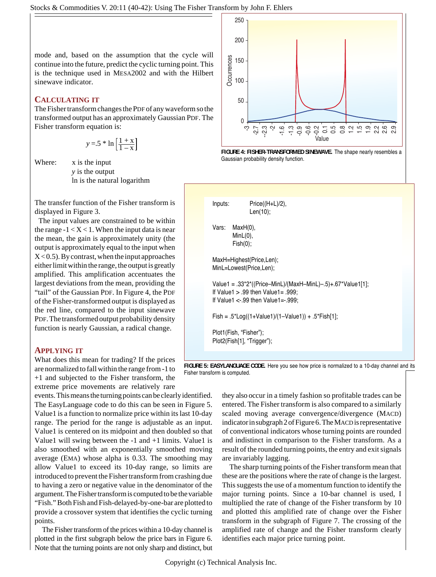mode and, based on the assumption that the cycle will continue into the future, predict the cyclic turning point. This is the technique used in MESA2002 and with the Hilbert sinewave indicator.

# **CALCULATING IT**

The Fisher transform changes the PDF of any waveform so the transformed output has an approximately Gaussian PDF. The Fisher transform equation is:

$$
y = .5 * \ln\left[\frac{1+x}{1-x}\right]
$$

Where: x is the input *y* is the output ln is the natural logarithm

The transfer function of the Fisher transform is displayed in Figure 3.

The input values are constrained to be within the range  $-1 < X < 1$ . When the input data is near the mean, the gain is approximately unity (the output is approximately equal to the input when  $X < 0.5$ ). By contrast, when the input approaches either limit within the range, the output is greatly amplified. This amplification accentuates the largest deviations from the mean, providing the "tail" of the Gaussian PDF. In Figure 4, the PDF of the Fisher-transformed output is displayed as the red line, compared to the input sinewave PDF. The transformed output probability density function is nearly Gaussian, a radical change.

# **APPLYING IT**

What does this mean for trading? If the prices are normalized to fall within the range from -1 to +1 and subjected to the Fisher transform, the extreme price movements are relatively rare

events. This means the turning points can be clearly identified. The EasyLanguage code to do this can be seen in Figure 5. Value1 is a function to normalize price within its last 10-day range. The period for the range is adjustable as an input. Value1 is centered on its midpoint and then doubled so that Value1 will swing between the  $-1$  and  $+1$  limits. Value1 is also smoothed with an exponentially smoothed moving average (EMA) whose alpha is 0.33. The smoothing may allow Value1 to exceed its 10-day range, so limits are introduced to prevent the Fisher transform from crashing due to having a zero or negative value in the denominator of the argument.The Fisher transform is computed to be the variable "Fish." Both Fish and Fish-delayed-by-one-bar are plotted to provide a crossover system that identifies the cyclic turning points.

The Fisher transform of the prices within a 10-day channel is plotted in the first subgraph below the price bars in Figure 6. Note that the turning points are not only sharp and distinct, but







**FIGURE 5: EASYLANGUAGE CODE.** Here you see how price is normalized to a 10-day channel and its

they also occur in a timely fashion so profitable trades can be entered. The Fisher transform is also compared to a similarly scaled moving average convergence/divergence (MACD) indicator in subgraph 2 of Figure 6. The MACD is representative of conventional indicators whose turning points are rounded and indistinct in comparison to the Fisher transform. As a result of the rounded turning points, the entry and exit signals are invariably lagging.

The sharp turning points of the Fisher transform mean that these are the positions where the rate of change is the largest. This suggests the use of a momentum function to identify the major turning points. Since a 10-bar channel is used, I multiplied the rate of change of the Fisher transform by 10 and plotted this amplified rate of change over the Fisher transform in the subgraph of Figure 7. The crossing of the amplified rate of change and the Fisher transform clearly identifies each major price turning point.